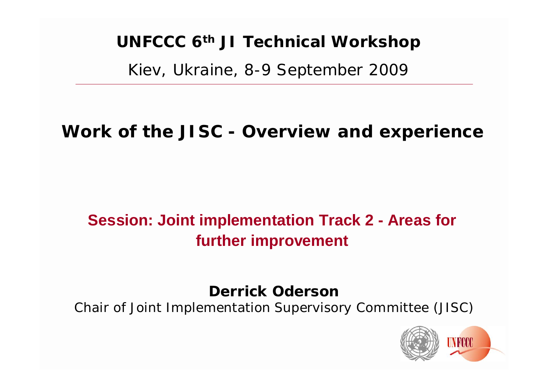# **UNFCCC 6th JI Technical Workshop**

Kiev, Ukraine, 8-9 September 2009

# **Work of the JISC - Overview and experience**

# **Session: Joint implementation Track 2 - Areas for further improvement**

**Derrick Oderson**

Chair of Joint Implementation Supervisory Committee (JISC)

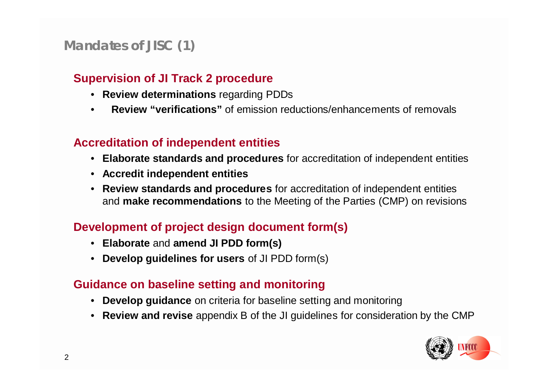## **Mandates of JISC (1)**

### **Supervision of JI Track 2 procedure**

- **Review determinations** regarding PDDs
- **Review "verifications"** of emission reductions/enhancements of removals

### **Accreditation of independent entities**

- **Elaborate standards and procedures** for accreditation of independent entities
- **Accredit independent entities**
- **Review standards and procedures** for accreditation of independent entities and **make recommendations** to the Meeting of the Parties (CMP) on revisions

### **Development of project design document form(s)**

- **Elaborate** and **amend JI PDD form(s)**
- **Develop guidelines for users** of JI PDD form(s)

### **Guidance on baseline setting and monitoring**

- **Develop guidance** on criteria for baseline setting and monitoring
- **Review and revise** appendix B of the JI guidelines for consideration by the CMP

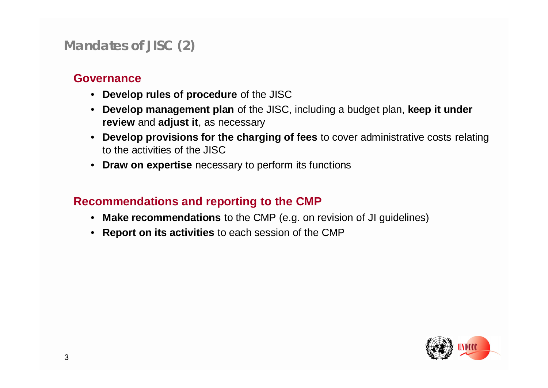### **Mandates of JISC (2)**

### **Governance**

- **Develop rules of procedure** of the JISC
- **Develop management plan** of the JISC, including a budget plan, **keep it under review** and **adjust it**, as necessary
- **Develop provisions for the charging of fees** to cover administrative costs relating to the activities of the JISC
- **Draw on expertise** necessary to perform its functions

### **Recommendations and reporting to the CMP**

- **Make recommendations** to the CMP (e.g. on revision of JI guidelines)
- **Report on its activities** to each session of the CMP

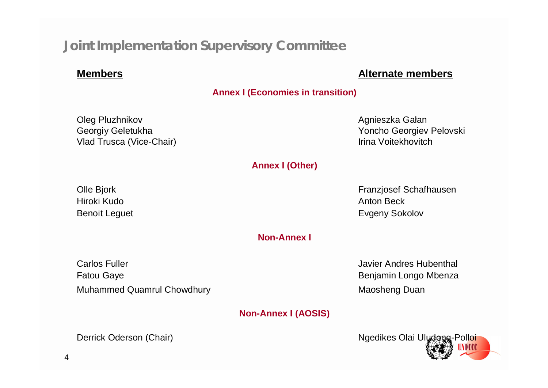### **Joint Implementation Supervisory Committee**

### **Members Alternate members**

#### **Annex I (Economies in transition)**

Oleg Pluzhnikov **Agnieszka Gałan** Vlad Trusca (Vice-Chair) **Vlad Trusca** (Vice-Chair) **III** 

Georgiy Geletukha Yoncho Georgiev Pelovski

#### **Annex I (Other)**

Hiroki Kudo Anton Beck

Olle Bjork Franzjosef Schafhausen Benoit Leguet **Evgeny Sokolov** 

**Non-Annex I**

Carlos Fuller **Carlos Fuller** Carlos Fuller Andres Hubenthal Fatou Gaye **Benjamin** Longo Mbenza Muhammed Quamrul Chowdhury Muhammed Quamrul Chowdhury Muhammed Duan

**Non-Annex I (AOSIS)**

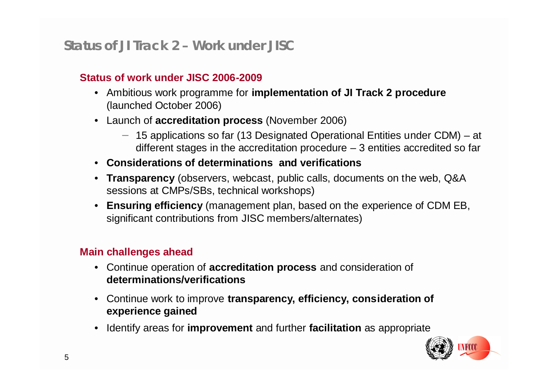### **Status of JI Track 2 – Work under JISC**

### **Status of work under JISC 2006-2009**

- Ambitious work programme for **implementation of JI Track 2 procedure** (launched October 2006)
- Launch of **accreditation process** (November 2006)
	- − 15 applications so far (13 Designated Operational Entities under CDM) at different stages in the accreditation procedure  $-3$  entities accredited so far
- **Considerations of determinations and verifications**
- **Transparency** (observers, webcast, public calls, documents on the web, Q&A sessions at CMPs/SBs, technical workshops)
- **Ensuring efficiency** (management plan, based on the experience of CDM EB, significant contributions from JISC members/alternates)

### **Main challenges ahead**

- Continue operation of **accreditation process** and consideration of **determinations/verifications**
- Continue work to improve **transparency, efficiency, consideration of experience gained**
- Identify areas for **improvement** and further **facilitation** as appropriate

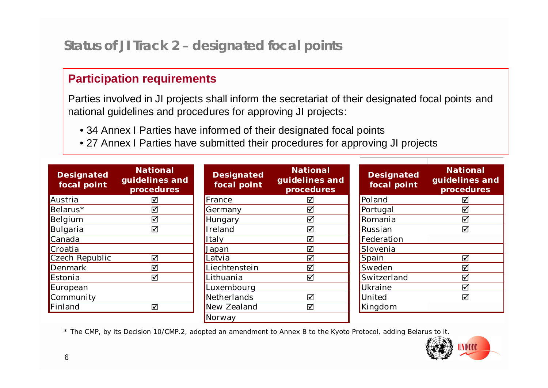### **Status of JI Track 2 – designated focal points**

### **Participation requirements**

Parties involved in JI projects shall inform the secretariat of their designated focal points and national guidelines and procedures for approving JI projects:

- 34 Annex I Parties have informed of their designated focal points
- 27 Annex I Parties have submitted their procedures for approving JI projects

| <b>Designated</b><br>focal point | <b>National</b><br>guidelines and<br>procedures | <b>Designated</b><br>focal point | <b>National</b><br>guidelines and<br>procedures | <b>Designated</b><br>focal point | <b>National</b><br>guidelines and<br>procedures |
|----------------------------------|-------------------------------------------------|----------------------------------|-------------------------------------------------|----------------------------------|-------------------------------------------------|
| Austria                          | ☑                                               | $\blacksquare$ France            | ☑                                               | Poland                           | ☑                                               |
| Belarus*                         | ☑                                               | Germany                          | ☑                                               | Portugal                         | ☑                                               |
| Belgium                          | ☑                                               | Hungary                          | ☑                                               | Romania                          | ☑                                               |
| Bulgaria                         | ☑                                               | <b>I</b> reland                  | ☑                                               | Russian                          | ☑                                               |
| Canada                           |                                                 | <b>I</b> taly                    | ☑                                               | Federation                       |                                                 |
| Croatia                          |                                                 | Japan                            | ☑                                               | Slovenia                         |                                                 |
| Czech Republic                   | ☑                                               | Latvia                           | $\boxtimes$                                     | Spain                            | ☑                                               |
| Denmark                          | ☑                                               | Liechtenstein                    | ☑                                               | Sweden                           | ☑                                               |
| Estonia                          | ☑                                               | <sub>-</sub> ithuania            | ☑                                               | Switzerland                      | ☑                                               |
| European                         |                                                 | Luxembourg                       |                                                 | Ukraine                          | ☑                                               |
| Community                        |                                                 | Netherlands                      | ☑                                               | United                           | ☑                                               |
| Finland                          | ☑                                               | New Zealand                      | ☑                                               | Kingdom                          |                                                 |
|                                  |                                                 | Norway                           |                                                 |                                  |                                                 |

\* The CMP, by its Decision 10/CMP.2, adopted an amendment to Annex B to the Kyoto Protocol, adding Belarus to it.

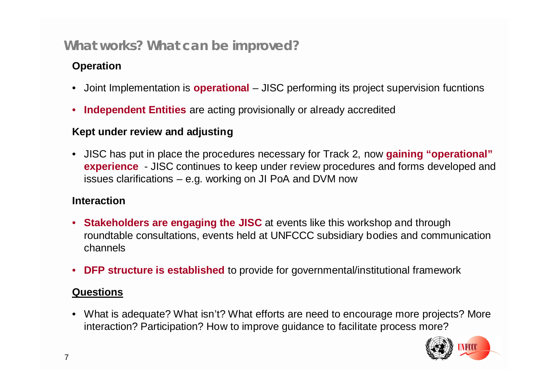### **What works? What can be improved?**

### **Operation**

- Joint Implementation is **operational** JISC performing its project supervision fucntions
- **Independent Entities** are acting provisionally or already accredited

### **Kept under review and adjusting**

• JISC has put in place the procedures necessary for Track 2, now **gaining "operational" experience** - JISC continues to keep under review procedures and forms developed and issues clarifications – e.g. working on JI PoA and DVM now

### **Interaction**

- **Stakeholders are engaging the JISC** at events like this workshop and through roundtable consultations, events held at UNFCCC subsidiary bodies and communication channels
- **DFP structure is established** to provide for governmental/institutional framework

### **Questions**

• What is adequate? What isn't? What efforts are need to encourage more projects? More interaction? Participation? How to improve guidance to facilitate process more?